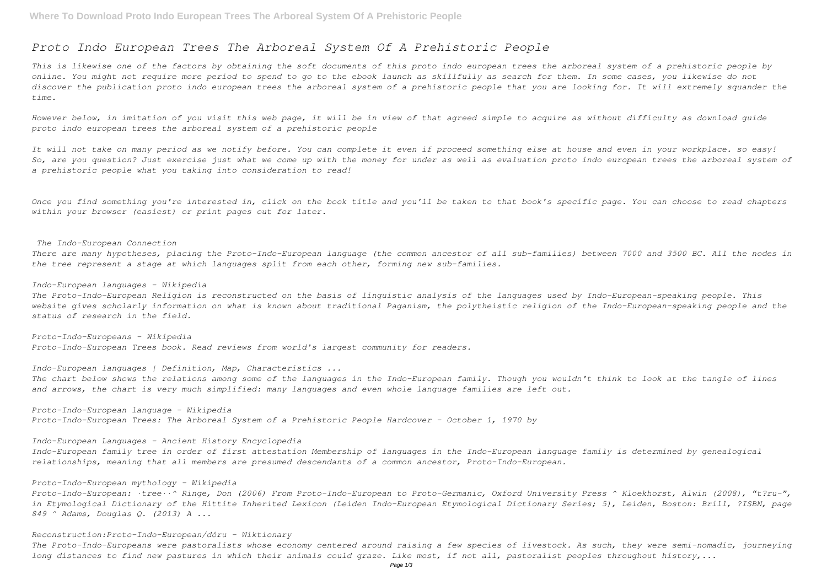# *Proto Indo European Trees The Arboreal System Of A Prehistoric People*

This is likewise one of the factors by obtaining the soft documents of this proto indo european trees the arboreal system of a prehistoric people by *online. You might not require more period to spend to go to the ebook launch as skillfully as search for them. In some cases, you likewise do not discover the publication proto indo european trees the arboreal system of a prehistoric people that you are looking for. It will extremely squander the time.*

*However below, in imitation of you visit this web page, it will be in view of that agreed simple to acquire as without difficulty as download guide proto indo european trees the arboreal system of a prehistoric people*

*It will not take on many period as we notify before. You can complete it even if proceed something else at house and even in your workplace. so easy! So, are you question? Just exercise just what we come up with the money for under as well as evaluation proto indo european trees the arboreal system of a prehistoric people what you taking into consideration to read!*

*Once you find something you're interested in, click on the book title and you'll be taken to that book's specific page. You can choose to read chapters within your browser (easiest) or print pages out for later.*

### *The Indo-European Connection*

*There are many hypotheses, placing the Proto-Indo-European language (the common ancestor of all sub-families) between 7000 and 3500 BC. All the nodes in the tree represent a stage at which languages split from each other, forming new sub-families.*

# *Indo-European languages - Wikipedia*

*The Proto-Indo-European Religion is reconstructed on the basis of linguistic analysis of the languages used by Indo-European-speaking people. This website gives scholarly information on what is known about traditional Paganism, the polytheistic religion of the Indo-European-speaking people and the status of research in the field.*

*Proto-Indo-Europeans - Wikipedia Proto-Indo-European Trees book. Read reviews from world's largest community for readers.*

*Indo-European languages | Definition, Map, Characteristics ...*

*The chart below shows the relations among some of the languages in the Indo-European family. Though you wouldn't think to look at the tangle of lines and arrows, the chart is very much simplified: many languages and even whole language families are left out.*

*Proto-Indo-European language - Wikipedia Proto-Indo-European Trees: The Arboreal System of a Prehistoric People Hardcover – October 1, 1970 by*

*Indo-European Languages - Ancient History Encyclopedia*

*Indo-European family tree in order of first attestation Membership of languages in the Indo-European language family is determined by genealogical relationships, meaning that all members are presumed descendants of a common ancestor, Proto-Indo-European.*

## *Proto-Indo-European mythology - Wikipedia*

*Proto-Indo-European: ·tree··^ Ringe, Don (2006) From Proto-Indo-European to Proto-Germanic, Oxford University Press ^ Kloekhorst, Alwin (2008), "t?ru-", in Etymological Dictionary of the Hittite Inherited Lexicon (Leiden Indo-European Etymological Dictionary Series; 5), Leiden, Boston: Brill, ?ISBN, page 849 ^ Adams, Douglas Q. (2013) A ...*

# *Reconstruction:Proto-Indo-European/dóru - Wiktionary*

*The Proto-Indo-Europeans were pastoralists whose economy centered around raising a few species of livestock. As such, they were semi-nomadic, journeying long distances to find new pastures in which their animals could graze. Like most, if not all, pastoralist peoples throughout history,...*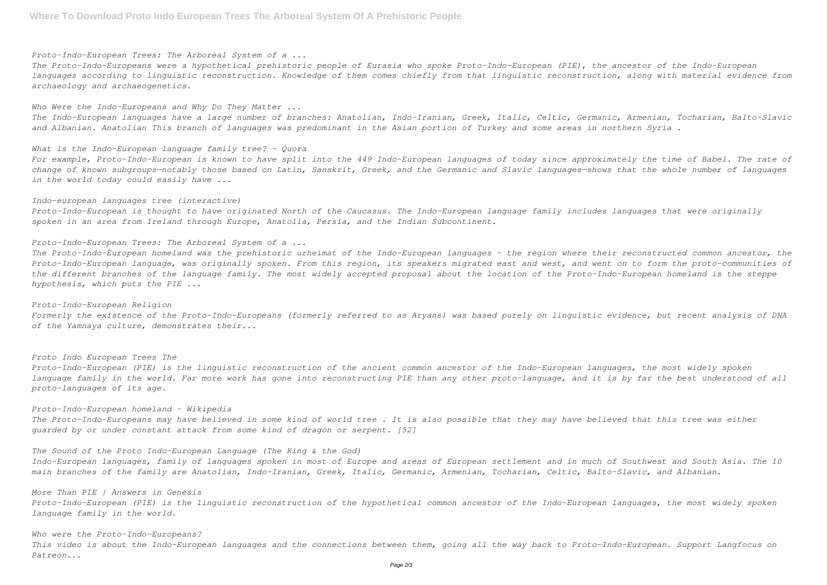*Proto-Indo-European Trees: The Arboreal System of a ...*

*The Proto-Indo-Europeans were a hypothetical prehistoric people of Eurasia who spoke Proto-Indo-European (PIE), the ancestor of the Indo-European languages according to linguistic reconstruction. Knowledge of them comes chiefly from that linguistic reconstruction, along with material evidence from archaeology and archaeogenetics.*

*Who Were the Indo-Europeans and Why Do They Matter ...*

*The Indo-European languages have a large number of branches: Anatolian, Indo-Iranian, Greek, Italic, Celtic, Germanic, Armenian, Tocharian, Balto-Slavic and Albanian. Anatolian This branch of languages was predominant in the Asian portion of Turkey and some areas in northern Syria .*

*What is the Indo-European language family tree? - Quora*

*For example, Proto-Indo-European is known to have split into the 449 Indo-European languages of today since approximately the time of Babel. The rate of change of known subgroups—notably those based on Latin, Sanskrit, Greek, and the Germanic and Slavic languages—shows that the whole number of languages in the world today could easily have ...*

### *Indo-european languages tree (interactive)*

*Proto-Indo-European is thought to have originated North of the Caucasus. The Indo-European language family includes languages that were originally spoken in an area from Ireland through Europe, Anatolia, Persia, and the Indian Subcontinent.*

*Proto-Indo-European Trees: The Arboreal System of a ...*

Indo-European languages, family of languages spoken in most of Europe and areas of European settlement and in much of Southwest and South Asia. The 10 *main branches of the family are Anatolian, Indo-Iranian, Greek, Italic, Germanic, Armenian, Tocharian, Celtic, Balto-Slavic, and Albanian.*

*The Proto-Indo-European homeland was the prehistoric urheimat of the Indo-European languages – the region where their reconstructed common ancestor, the Proto-Indo-European language, was originally spoken. From this region, its speakers migrated east and west, and went on to form the proto-communities of the different branches of the language family. The most widely accepted proposal about the location of the Proto-Indo-European homeland is the steppe hypothesis, which puts the PIE ...*

#### *Proto-Indo-European Religion*

*Formerly the existence of the Proto-Indo-Europeans (formerly referred to as Aryans) was based purely on linguistic evidence, but recent analysis of DNA of the Yamnaya culture, demonstrates their...*

*Proto Indo European Trees The Proto-Indo-European (PIE) is the linguistic reconstruction of the ancient common ancestor of the Indo-European languages, the most widely spoken language family in the world. Far more work has gone into reconstructing PIE than any other proto-language, and it is by far the best understood of all proto-languages of its age.*

*Proto-Indo-European homeland - Wikipedia The Proto-Indo-Europeans may have believed in some kind of world tree . It is also possible that they may have believed that this tree was either guarded by or under constant attack from some kind of dragon or serpent. [52]*

### *The Sound of the Proto Indo-European Language (The King & the God)*

*More Than PIE | Answers in Genesis*

*Proto-Indo-European (PIE) is the linguistic reconstruction of the hypothetical common ancestor of the Indo-European languages, the most widely spoken language family in the world.*

*Who were the Proto-Indo-Europeans? This video is about the Indo-European languages and the connections between them, going all the way back to Proto-Indo-European. Support Langfocus on Patreon...*